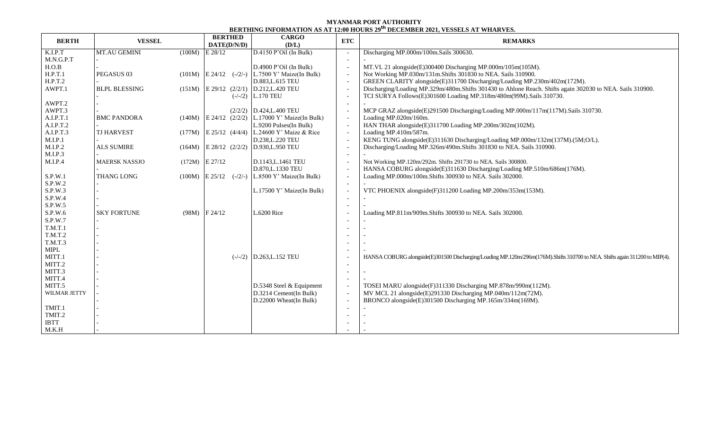## **MYANMAR PORT AUTHORITY BERTHING INFORMATION AS AT 12:00 HOURS 29 th DECEMBER 2021, VESSELS AT WHARVES.**

| <b>BERTH</b>   | <b>VESSEL</b>        |        | <b>BERTHED</b><br>DATE(D/N/D) | <b>CARGO</b><br>(D/L)                               | <b>ETC</b>               | <b>REMARKS</b>                                                                                                              |  |  |  |
|----------------|----------------------|--------|-------------------------------|-----------------------------------------------------|--------------------------|-----------------------------------------------------------------------------------------------------------------------------|--|--|--|
| K.I.P.T        | MT.AU GEMINI         |        | $(100M)$ E 28/12              | D.4150 P'Oil (In Bulk)                              |                          | Discharging MP.000m/100m.Sails 300630.                                                                                      |  |  |  |
| M.N.G.P.T      |                      |        |                               |                                                     | $\sim$                   |                                                                                                                             |  |  |  |
| H.O.B          |                      |        |                               | $D.4900$ P'Oil (In Bulk)                            | $\sim$                   | MT.VL 21 alongside(E)300400 Discharging MP.000m/105m(105M).                                                                 |  |  |  |
| H.P.T.1        | PEGASUS 03           |        |                               | $(101M)$ E 24/12 $(-/2/-)$ L.7500 Y' Maize(In Bulk) | $\overline{a}$           | Not Working MP.030m/131m.Shifts 301830 to NEA. Sails 310900.                                                                |  |  |  |
| H.P.T.2        |                      |        |                               | D.883, L.615 TEU                                    | $\sim$                   | GREEN CLARITY alongside(E)311700 Discharging/Loading MP.230m/402m(172M).                                                    |  |  |  |
| AWPT.1         | <b>BLPL BLESSING</b> |        |                               | $(151M)$ E 29/12 $(2/2/1)$ D.212, L.420 TEU         | $\overline{\phantom{a}}$ | Discharging/Loading MP.329m/480m.Shifts 301430 to Ahlone Reach. Shifts again 302030 to NEA. Sails 310900.                   |  |  |  |
|                |                      |        |                               | $(-/-/2)$ L.170 TEU                                 | $\sim$                   | TCI SURYA Follows(E)301600 Loading MP.318m/480m(99M).Sails 310730.                                                          |  |  |  |
| AWPT.2         |                      |        |                               |                                                     |                          |                                                                                                                             |  |  |  |
| AWPT.3         |                      |        |                               | $(2/2/2)$ D.424, L.400 TEU                          | $\overline{\phantom{a}}$ | MCP GRAZ alongside(E)291500 Discharging/Loading MP.000m/117m(117M).Sails 310730.                                            |  |  |  |
| A.I.P.T.1      | <b>BMC PANDORA</b>   | (140M) |                               | $E$ 24/12 (2/2/2) L.17000 Y' Maize(In Bulk)         | $\sim$                   | Loading MP.020m/160m.                                                                                                       |  |  |  |
| A.I.P.T.2      |                      |        |                               | L.9200 Pulses(In Bulk)                              | $\sim$                   | HAN THAR alongside(E)311700 Loading MP.200m/302m(102M).                                                                     |  |  |  |
| A.I.P.T.3      | <b>TJ HARVEST</b>    |        |                               | (177M) E 25/12 (4/4/4) L.24600 Y' Maize & Rice      | $\sim$                   | Loading MP.410m/587m.                                                                                                       |  |  |  |
| M.I.P.1        |                      |        |                               | D.238, L.220 TEU                                    | $\sim$                   | KENG TUNG alongside(E)311630 Discharging/Loading MP.000m/132m(137M).(5M;O/L).                                               |  |  |  |
| M.I.P.2        | <b>ALS SUMIRE</b>    | (164M) |                               | E 28/12 (2/2/2) D.930, L.950 TEU                    | $\overline{\phantom{a}}$ | Discharging/Loading MP.326m/490m.Shifts 301830 to NEA. Sails 310900.                                                        |  |  |  |
| M.I.P.3        |                      |        |                               |                                                     | $\sim$                   |                                                                                                                             |  |  |  |
| M.I.P.4        | <b>MAERSK NASSJO</b> |        | $(172M)$ E 27/12              | D.1143, L.1461 TEU                                  | $\overline{\phantom{a}}$ | Not Working MP.120m/292m. Shifts 291730 to NEA. Sails 300800.                                                               |  |  |  |
|                |                      |        |                               | D.870, L.1330 TEU                                   | $\overline{a}$           | HANSA COBURG alongside(E)311630 Discharging/Loading MP.510m/686m(176M).                                                     |  |  |  |
| S.P.W.1        | THANG LONG           | (100M) |                               | $E\ 25/12$ (-/2/-) L.8500 Y' Maize(In Bulk)         | $\overline{a}$           | Loading MP.000m/100m.Shifts 300930 to NEA. Sails 302000.                                                                    |  |  |  |
| S.P.W.2        |                      |        |                               |                                                     |                          |                                                                                                                             |  |  |  |
| S.P.W.3        |                      |        |                               | L.17500 Y' Maize(In Bulk)                           | $\overline{\phantom{a}}$ | VTC PHOENIX alongside(F)311200 Loading MP.200m/353m(153M).                                                                  |  |  |  |
| S.P.W.4        |                      |        |                               |                                                     | $\overline{\phantom{0}}$ |                                                                                                                             |  |  |  |
| S.P.W.5        |                      |        |                               |                                                     |                          |                                                                                                                             |  |  |  |
| S.P.W.6        | <b>SKY FORTUNE</b>   |        | $(98M)$ F 24/12               | L.6200 Rice                                         |                          | Loading MP.811m/909m.Shifts 300930 to NEA. Sails 302000.                                                                    |  |  |  |
| S.P.W.7        |                      |        |                               |                                                     |                          |                                                                                                                             |  |  |  |
| T.M.T.1        |                      |        |                               |                                                     |                          |                                                                                                                             |  |  |  |
| T.M.T.2        |                      |        |                               |                                                     |                          |                                                                                                                             |  |  |  |
| <b>T.M.T.3</b> |                      |        |                               |                                                     |                          |                                                                                                                             |  |  |  |
| <b>MIPL</b>    |                      |        |                               |                                                     |                          |                                                                                                                             |  |  |  |
| MITT.1         |                      |        |                               | $(-/-/2)$ D.263, L.152 TEU                          |                          | HANSA COBURG alongside(E)301500 Discharging/Loading MP.120m/296m(176M).Shifts 310700 to NEA. Shifts again 311200 to MIP(4). |  |  |  |
| MITT.2         |                      |        |                               |                                                     | $\overline{\phantom{0}}$ |                                                                                                                             |  |  |  |
| MITT.3         |                      |        |                               |                                                     | $\overline{\phantom{0}}$ |                                                                                                                             |  |  |  |
| MITT.4         |                      |        |                               |                                                     | $\sim$                   |                                                                                                                             |  |  |  |
| MITT.5         |                      |        |                               | D.5348 Steel & Equipment                            | $\overline{a}$           | TOSEI MARU alongside(F)311330 Discharging MP.878m/990m(112M).                                                               |  |  |  |
| WILMAR JETTY   |                      |        |                               | D.3214 Cement(In Bulk)                              | $\overline{\phantom{a}}$ | MV MCL 21 alongside(E)291330 Discharging MP.040m/112m(72M).                                                                 |  |  |  |
|                |                      |        |                               | D.22000 Wheat(In Bulk)                              | $\overline{\phantom{a}}$ | BRONCO alongside(E)301500 Discharging MP.165m/334m(169M).                                                                   |  |  |  |
| TMIT.1         |                      |        |                               |                                                     |                          |                                                                                                                             |  |  |  |
| TMIT.2         |                      |        |                               |                                                     |                          |                                                                                                                             |  |  |  |
| <b>IBTT</b>    |                      |        |                               |                                                     |                          |                                                                                                                             |  |  |  |
| M.K.H          |                      |        |                               |                                                     |                          |                                                                                                                             |  |  |  |